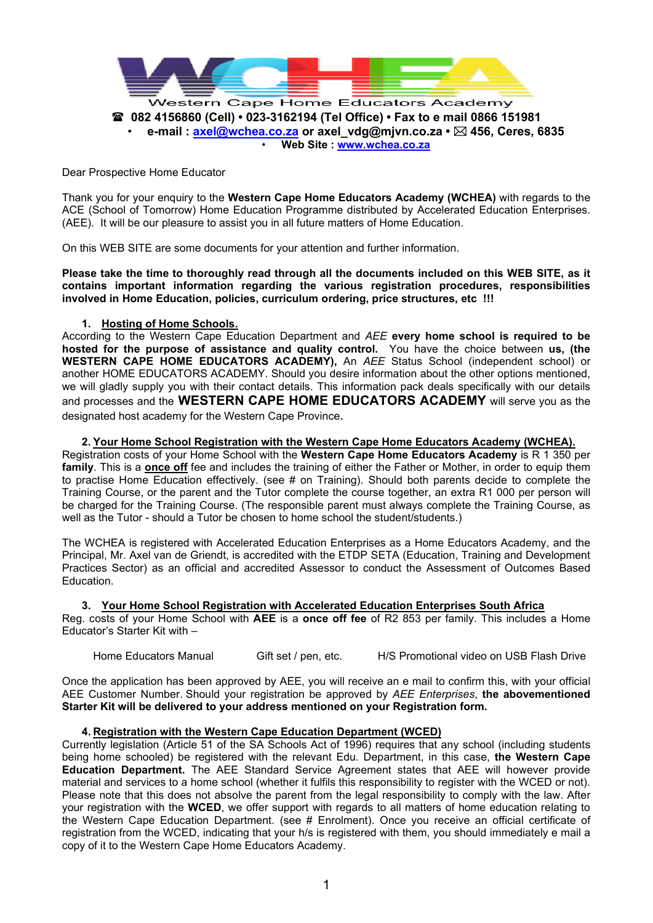

Dear Prospective Home Educator

Thank you for your enquiry to the **Western Cape Home Educators Academy (WCHEA)** with regards to the ACE (School of Tomorrow) Home Education Programme distributed by Accelerated Education Enterprises. (AEE). It will be our pleasure to assist you in all future matters of Home Education.

On this WEB SITE are some documents for your attention and further information.

**Please take the time to thoroughly read through all the documents included on this WEB SITE, as it contains important information regarding the various registration procedures, responsibilities involved in Home Education, policies, curriculum ordering, price structures, etc !!!** 

# **1. Hosting of Home Schools.**

According to the Western Cape Education Department and *AEE* **every home school is required to be hosted for the purpose of assistance and quality control.** You have the choice between **us, (the WESTERN CAPE HOME EDUCATORS ACADEMY),** An *AEE* Status School (independent school) or another HOME EDUCATORS ACADEMY. Should you desire information about the other options mentioned, we will gladly supply you with their contact details. This information pack deals specifically with our details and processes and the **WESTERN CAPE HOME EDUCATORS ACADEMY** will serve you as the designated host academy for the Western Cape Province.

# **2. Your Home School Registration with the Western Cape Home Educators Academy (WCHEA).**

Registration costs of your Home School with the **Western Cape Home Educators Academy** is R 1 350 per **family**. This is a **once off** fee and includes the training of either the Father or Mother, in order to equip them to practise Home Education effectively. (see # on Training). Should both parents decide to complete the Training Course, or the parent and the Tutor complete the course together, an extra R1 000 per person will be charged for the Training Course. (The responsible parent must always complete the Training Course, as well as the Tutor - should a Tutor be chosen to home school the student/students.)

The WCHEA is registered with Accelerated Education Enterprises as a Home Educators Academy, and the Principal, Mr. Axel van de Griendt, is accredited with the ETDP SETA (Education, Training and Development Practices Sector) as an official and accredited Assessor to conduct the Assessment of Outcomes Based Education.

# **3. Your Home School Registration with Accelerated Education Enterprises South Africa**

Reg. costs of your Home School with **AEE** is a **once off fee** of R2 853 per family. This includes a Home Educator's Starter Kit with –

Home Educators Manual Gift set / pen, etc. H/S Promotional video on USB Flash Drive

Once the application has been approved by AEE, you will receive an e mail to confirm this, with your official AEE Customer Number. Should your registration be approved by *AEE Enterprises*, **the abovementioned Starter Kit will be delivered to your address mentioned on your Registration form.**

#### **4. Registration with the Western Cape Education Department (WCED)**

Currently legislation (Article 51 of the SA Schools Act of 1996) requires that any school (including students being home schooled) be registered with the relevant Edu. Department, in this case, **the Western Cape Education Department.** The AEE Standard Service Agreement states that AEE will however provide material and services to a home school (whether it fulfils this responsibility to register with the WCED or not). Please note that this does not absolve the parent from the legal responsibility to comply with the law. After your registration with the **WCED**, we offer support with regards to all matters of home education relating to the Western Cape Education Department. (see # Enrolment). Once you receive an official certificate of registration from the WCED, indicating that your h/s is registered with them, you should immediately e mail a copy of it to the Western Cape Home Educators Academy.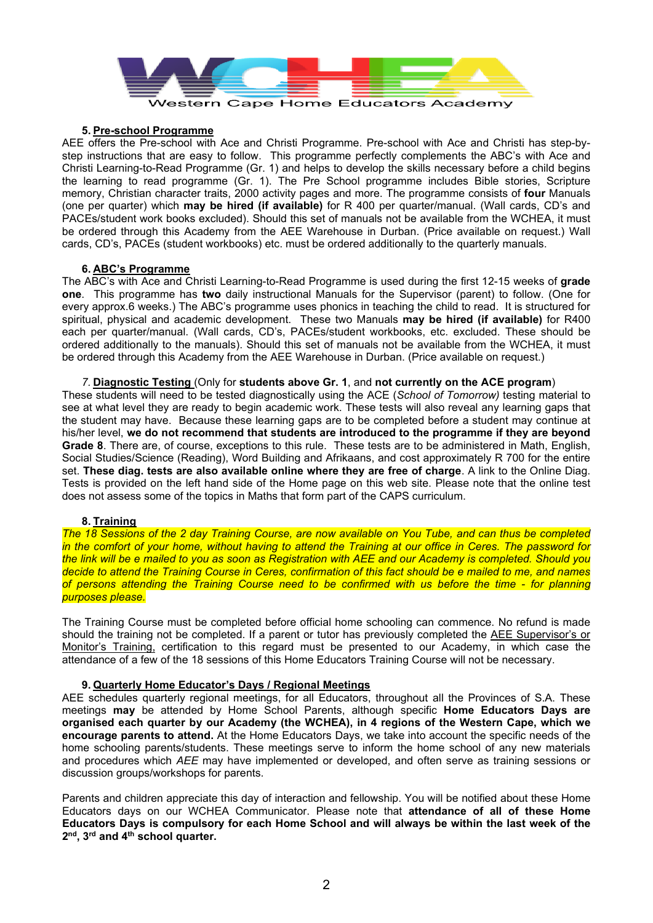

# **5. Pre-school Programme**

AEE offers the Pre-school with Ace and Christi Programme. Pre-school with Ace and Christi has step-bystep instructions that are easy to follow. This programme perfectly complements the ABC's with Ace and Christi Learning-to-Read Programme (Gr. 1) and helps to develop the skills necessary before a child begins the learning to read programme (Gr. 1). The Pre School programme includes Bible stories, Scripture memory, Christian character traits, 2000 activity pages and more. The programme consists of **four** Manuals (one per quarter) which **may be hired (if available)** for R 400 per quarter/manual. (Wall cards, CD's and PACEs/student work books excluded). Should this set of manuals not be available from the WCHEA, it must be ordered through this Academy from the AEE Warehouse in Durban. (Price available on request.) Wall cards, CD's, PACEs (student workbooks) etc. must be ordered additionally to the quarterly manuals.

#### **6. ABC's Programme**

The ABC's with Ace and Christi Learning-to-Read Programme is used during the first 12-15 weeks of **grade one**. This programme has **two** daily instructional Manuals for the Supervisor (parent) to follow. (One for every approx.6 weeks.) The ABC's programme uses phonics in teaching the child to read. It is structured for spiritual, physical and academic development. These two Manuals **may be hired (if available)** for R400 each per quarter/manual. (Wall cards, CD's, PACEs/student workbooks, etc. excluded. These should be ordered additionally to the manuals). Should this set of manuals not be available from the WCHEA, it must be ordered through this Academy from the AEE Warehouse in Durban. (Price available on request.)

#### *7.* **Diagnostic Testing** (Only for **students above Gr. 1**, and **not currently on the ACE program**)

These students will need to be tested diagnostically using the ACE (*School of Tomorrow)* testing material to see at what level they are ready to begin academic work. These tests will also reveal any learning gaps that the student may have. Because these learning gaps are to be completed before a student may continue at his/her level, **we do not recommend that students are introduced to the programme if they are beyond Grade 8**. There are, of course, exceptions to this rule. These tests are to be administered in Math, English, Social Studies/Science (Reading), Word Building and Afrikaans, and cost approximately R 700 for the entire set. **These diag. tests are also available online where they are free of charge**. A link to the Online Diag. Tests is provided on the left hand side of the Home page on this web site. Please note that the online test does not assess some of the topics in Maths that form part of the CAPS curriculum.

#### **8. Training**

*The 18 Sessions of the 2 day Training Course, are now available on You Tube, and can thus be completed in the comfort of your home, without having to attend the Training at our office in Ceres. The password for the link will be e mailed to you as soon as Registration with AEE and our Academy is completed. Should you decide to attend the Training Course in Ceres, confirmation of this fact should be e mailed to me, and names of persons attending the Training Course need to be confirmed with us before the time - for planning purposes please.*

The Training Course must be completed before official home schooling can commence. No refund is made should the training not be completed. If a parent or tutor has previously completed the AEE Supervisor's or Monitor's Training, certification to this regard must be presented to our Academy, in which case the attendance of a few of the 18 sessions of this Home Educators Training Course will not be necessary.

#### **9. Quarterly Home Educator's Days / Regional Meetings**

AEE schedules quarterly regional meetings, for all Educators, throughout all the Provinces of S.A. These meetings **may** be attended by Home School Parents, although specific **Home Educators Days are organised each quarter by our Academy (the WCHEA), in 4 regions of the Western Cape, which we encourage parents to attend.** At the Home Educators Days, we take into account the specific needs of the home schooling parents/students. These meetings serve to inform the home school of any new materials and procedures which *AEE* may have implemented or developed, and often serve as training sessions or discussion groups/workshops for parents.

Parents and children appreciate this day of interaction and fellowship. You will be notified about these Home Educators days on our WCHEA Communicator. Please note that **attendance of all of these Home Educators Days is compulsory for each Home School and will always be within the last week of the 2nd, 3rd and 4th school quarter.**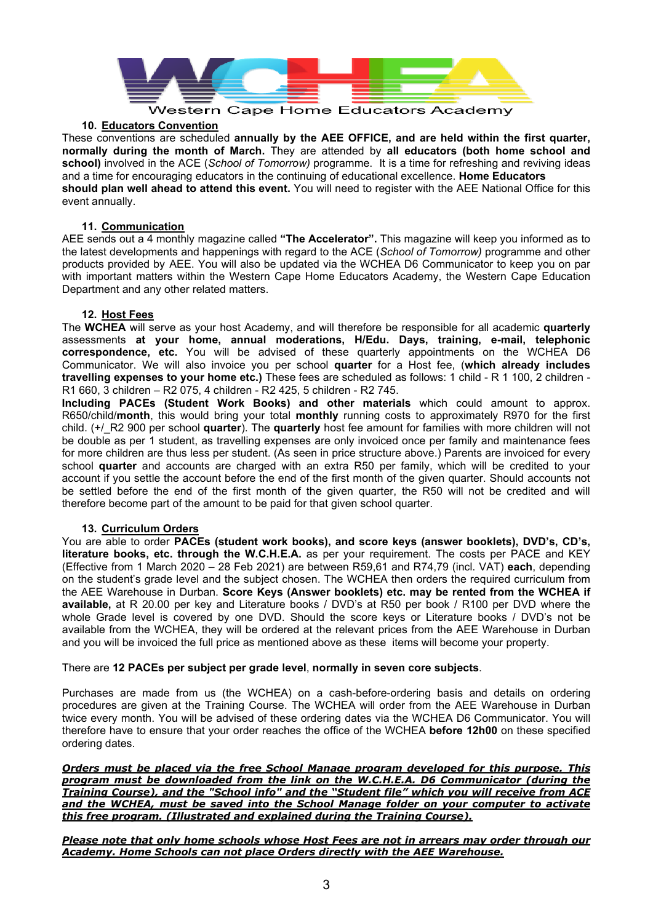

### **10. Educators Convention**

These conventions are scheduled **annually by the AEE OFFICE, and are held within the first quarter, normally during the month of March.** They are attended by **all educators (both home school and school)** involved in the ACE (*School of Tomorrow)* programme. It is a time for refreshing and reviving ideas and a time for encouraging educators in the continuing of educational excellence. **Home Educators should plan well ahead to attend this event.** You will need to register with the AEE National Office for this event annually.

# **11. Communication**

AEE sends out a 4 monthly magazine called **"The Accelerator".** This magazine will keep you informed as to the latest developments and happenings with regard to the ACE (*School of Tomorrow)* programme and other products provided by AEE. You will also be updated via the WCHEA D6 Communicator to keep you on par with important matters within the Western Cape Home Educators Academy, the Western Cape Education Department and any other related matters.

# **12. Host Fees**

The **WCHEA** will serve as your host Academy, and will therefore be responsible for all academic **quarterly**  assessments **at your home, annual moderations, H/Edu. Days, training, e-mail, telephonic correspondence, etc.** You will be advised of these quarterly appointments on the WCHEA D6 Communicator. We will also invoice you per school **quarter** for a Host fee, (**which already includes travelling expenses to your home etc.)** These fees are scheduled as follows: 1 child - R 1 100, 2 children - R1 660, 3 children – R2 075, 4 children - R2 425, 5 children - R2 745.

**Including PACEs (Student Work Books) and other materials** which could amount to approx. R650/child/**month**, this would bring your total **monthly** running costs to approximately R970 for the first child. (+/\_R2 900 per school **quarter**). The **quarterly** host fee amount for families with more children will not be double as per 1 student, as travelling expenses are only invoiced once per family and maintenance fees for more children are thus less per student. (As seen in price structure above.) Parents are invoiced for every school **quarter** and accounts are charged with an extra R50 per family, which will be credited to your account if you settle the account before the end of the first month of the given quarter. Should accounts not be settled before the end of the first month of the given quarter, the R50 will not be credited and will therefore become part of the amount to be paid for that given school quarter.

# **13. Curriculum Orders**

You are able to order **PACEs (student work books), and score keys (answer booklets), DVD's, CD's, literature books, etc. through the W.C.H.E.A.** as per your requirement. The costs per PACE and KEY (Effective from 1 March 2020 – 28 Feb 2021) are between R59,61 and R74,79 (incl. VAT) **each**, depending on the student's grade level and the subject chosen. The WCHEA then orders the required curriculum from the AEE Warehouse in Durban. **Score Keys (Answer booklets) etc. may be rented from the WCHEA if available,** at R 20.00 per key and Literature books / DVD's at R50 per book / R100 per DVD where the whole Grade level is covered by one DVD. Should the score keys or Literature books / DVD's not be available from the WCHEA, they will be ordered at the relevant prices from the AEE Warehouse in Durban and you will be invoiced the full price as mentioned above as these items will become your property.

#### There are **12 PACEs per subject per grade level**, **normally in seven core subjects**.

Purchases are made from us (the WCHEA) on a cash-before-ordering basis and details on ordering procedures are given at the Training Course. The WCHEA will order from the AEE Warehouse in Durban twice every month. You will be advised of these ordering dates via the WCHEA D6 Communicator. You will therefore have to ensure that your order reaches the office of the WCHEA **before 12h00** on these specified ordering dates.

*Orders must be placed via the free School Manage program developed for this purpose. This program must be downloaded from the link on the W.C.H.E.A. D6 Communicator (during the Training Course), and the "School info" and the "Student file" which you will receive from ACE and the WCHEA, must be saved into the School Manage folder on your computer to activate this free program. (Illustrated and explained during the Training Course).*

*Please note that only home schools whose Host Fees are not in arrears may order through our Academy. Home Schools can not place Orders directly with the AEE Warehouse.*